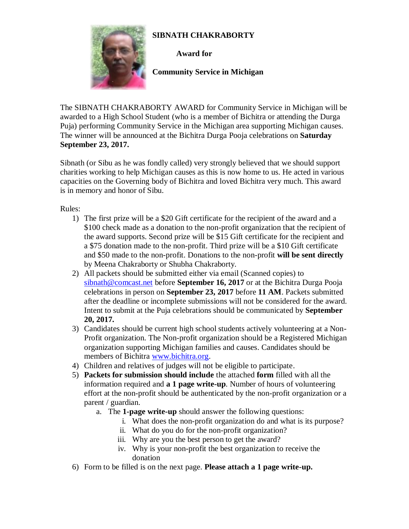## **SIBNATH CHAKRABORTY**



**Award for**

 **Community Service in Michigan**

The SIBNATH CHAKRABORTY AWARD for Community Service in Michigan will be awarded to a High School Student (who is a member of Bichitra or attending the Durga Puja) performing Community Service in the Michigan area supporting Michigan causes. The winner will be announced at the Bichitra Durga Pooja celebrations on **Saturday September 23, 2017.**

Sibnath (or Sibu as he was fondly called) very strongly believed that we should support charities working to help Michigan causes as this is now home to us. He acted in various capacities on the Governing body of Bichitra and loved Bichitra very much. This award is in memory and honor of Sibu.

Rules:

- 1) The first prize will be a \$20 Gift certificate for the recipient of the award and a \$100 check made as a donation to the non-profit organization that the recipient of the award supports. Second prize will be \$15 Gift certificate for the recipient and a \$75 donation made to the non-profit. Third prize will be a \$10 Gift certificate and \$50 made to the non-profit. Donations to the non-profit **will be sent directly** by Meena Chakraborty or Shubha Chakraborty.
- 2) All packets should be submitted either via email (Scanned copies) to [sibnath@comcast.net](mailto:sibnath@comcast.net) before **September 16, 2017** or at the Bichitra Durga Pooja celebrations in person on **September 23, 2017** before **11 AM**. Packets submitted after the deadline or incomplete submissions will not be considered for the award. Intent to submit at the Puja celebrations should be communicated by **September 20, 2017.**
- 3) Candidates should be current high school students actively volunteering at a Non-Profit organization. The Non-profit organization should be a Registered Michigan organization supporting Michigan families and causes. Candidates should be members of Bichitra [www.bichitra.org.](http://www.bichitra.org/)
- 4) Children and relatives of judges will not be eligible to participate.
- 5) **Packets for submission should include** the attached **form** filled with all the information required and **a 1 page write-up**. Number of hours of volunteering effort at the non-profit should be authenticated by the non-profit organization or a parent / guardian.
	- a. The **1-page write-up** should answer the following questions:
		- i. What does the non-profit organization do and what is its purpose?
		- ii. What do you do for the non-profit organization?
		- iii. Why are you the best person to get the award?
		- iv. Why is your non-profit the best organization to receive the donation
- 6) Form to be filled is on the next page. **Please attach a 1 page write-up.**